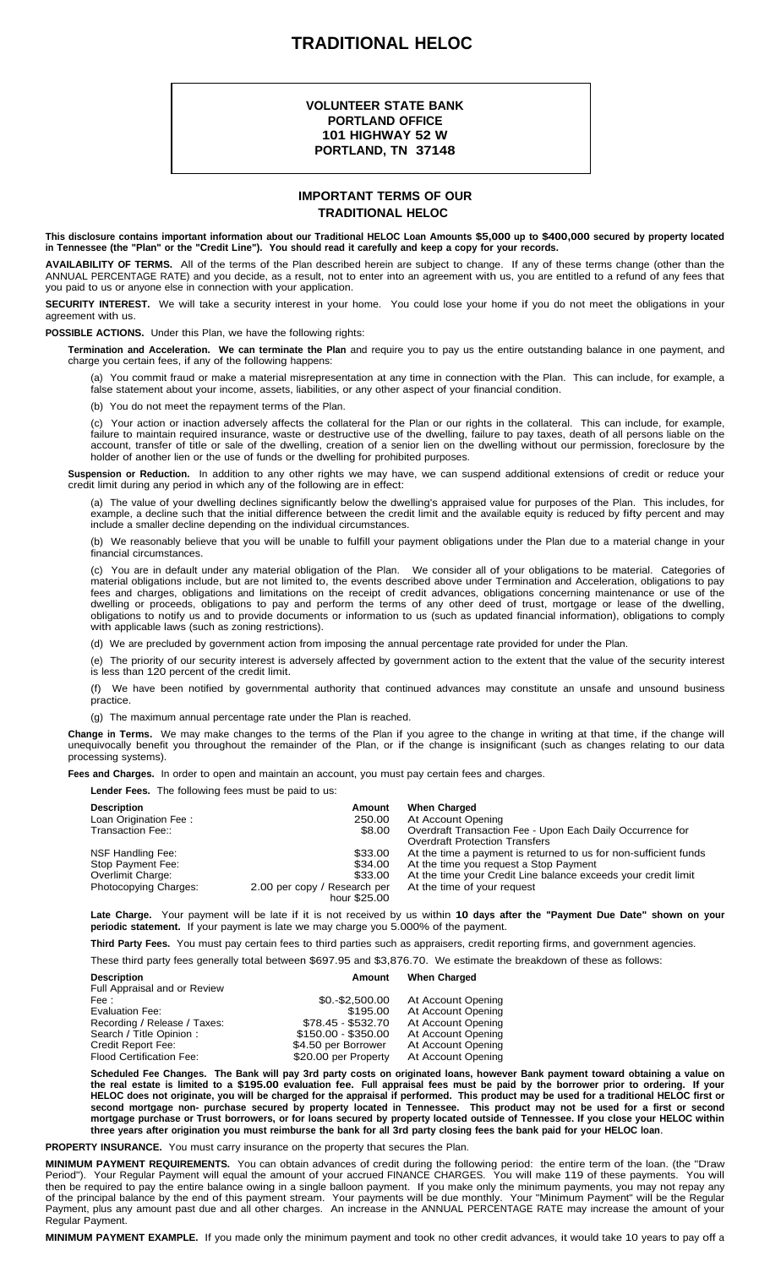## **TRADITIONAL HELOC**

## **VOLUNTEER STATE BANK PORTLAND OFFICE 101 HIGHWAY 52 W PORTLAND, TN 37148**

## **IMPORTANT TERMS OF OUR TRADITIONAL HELOC**

This disclosure contains important information about our Traditional HELOC Loan Amounts \$5,000 up to \$400,000 secured by property located in Tennessee (the "Plan" or the "Credit Line"). You should read it carefully and keep a copy for your records.

**AVAILABILITY OF TERMS.** All of the terms of the Plan described herein are subject to change. If any of these terms change (other than the ANNUAL PERCENTAGE RATE) and you decide, as a result, not to enter into an agreement with us, you are entitled to a refund of any fees that you paid to us or anyone else in connection with your application.

**SECURITY INTEREST.** We will take a security interest in your home. You could lose your home if you do not meet the obligations in your agreement with us.

**POSSIBLE ACTIONS.** Under this Plan, we have the following rights:

**Termination and Acceleration. We can terminate the Plan** and require you to pay us the entire outstanding balance in one payment, and charge you certain fees, if any of the following happens:

(a) You commit fraud or make a material misrepresentation at any time in connection with the Plan. This can include, for example, a false statement about your income, assets, liabilities, or any other aspect of your financial condition.

(b) You do not meet the repayment terms of the Plan.

(c) Your action or inaction adversely affects the collateral for the Plan or our rights in the collateral. This can include, for example, failure to maintain required insurance, waste or destructive use of the dwelling, failure to pay taxes, death of all persons liable on the account, transfer of title or sale of the dwelling, creation of a senior lien on the dwelling without our permission, foreclosure by the holder of another lien or the use of funds or the dwelling for prohibited purposes.

**Suspension or Reduction.** In addition to any other rights we may have, we can suspend additional extensions of credit or reduce your credit limit during any period in which any of the following are in effect:

(a) The value of your dwelling declines significantly below the dwelling's appraised value for purposes of the Plan. This includes, for example, a decline such that the initial difference between the credit limit and the available equity is reduced by fifty percent and may include a smaller decline depending on the individual circumstances.

(b) We reasonably believe that you will be unable to fulfill your payment obligations under the Plan due to a material change in your financial circumstances.

(c) You are in default under any material obligation of the Plan. We consider all of your obligations to be material. Categories of material obligations include, but are not limited to, the events described above under Termination and Acceleration, obligations to pay fees and charges, obligations and limitations on the receipt of credit advances, obligations concerning maintenance or use of the dwelling or proceeds, obligations to pay and perform the terms of any other deed of trust, mortgage or lease of the dwelling, obligations to notify us and to provide documents or information to us (such as updated financial information), obligations to comply with applicable laws (such as zoning restrictions).

(d) We are precluded by government action from imposing the annual percentage rate provided for under the Plan.

(e) The priority of our security interest is adversely affected by government action to the extent that the value of the security interest is less than 120 percent of the credit limit.

(f) We have been notified by governmental authority that continued advances may constitute an unsafe and unsound business practice.

(g) The maximum annual percentage rate under the Plan is reached.

**Change in Terms.** We may make changes to the terms of the Plan if you agree to the change in writing at that time, if the change will unequivocally benefit you throughout the remainder of the Plan, or if the change is insignificant (such as changes relating to our data processing systems).

**Fees and Charges.** In order to open and maintain an account, you must pay certain fees and charges.

**Lender Fees.** The following fees must be paid to us:

| <b>Description</b>    | Amount                                       | <b>When Charged</b>                                              |
|-----------------------|----------------------------------------------|------------------------------------------------------------------|
| Loan Origination Fee: | 250.00                                       | At Account Opening                                               |
| Transaction Fee::     | \$8.00                                       | Overdraft Transaction Fee - Upon Each Daily Occurrence for       |
|                       |                                              | <b>Overdraft Protection Transfers</b>                            |
| NSF Handling Fee:     | \$33.00                                      | At the time a payment is returned to us for non-sufficient funds |
| Stop Payment Fee:     | \$34.00                                      | At the time you request a Stop Payment                           |
| Overlimit Charge:     | \$33.00                                      | At the time your Credit Line balance exceeds your credit limit   |
| Photocopying Charges: | 2.00 per copy / Research per<br>hour \$25.00 | At the time of your request                                      |

**Late Charge.** Your payment will be late if it is not received by us within **10 days after the "Payment Due Date" shown on your periodic statement.** If your payment is late we may charge you 5.000% of the payment.

**Third Party Fees.** You must pay certain fees to third parties such as appraisers, credit reporting firms, and government agencies.

These third party fees generally total between \$697.95 and \$3,876.70. We estimate the breakdown of these as follows:

| <b>Description</b><br>Full Appraisal and or Review    | Amount                                      | <b>When Charged</b>                      |
|-------------------------------------------------------|---------------------------------------------|------------------------------------------|
| Fee :                                                 | $$0.-$2,500.00$                             | At Account Opening                       |
| Evaluation Fee:                                       | \$195.00                                    | At Account Opening                       |
| Recording / Release / Taxes:                          | \$78.45 - \$532.70                          | At Account Opening                       |
| Search / Title Opinion :                              | \$150.00 - \$350.00                         | At Account Opening                       |
| Credit Report Fee:<br><b>Flood Certification Fee:</b> | \$4.50 per Borrower<br>\$20.00 per Property | At Account Opening<br>At Account Opening |

Scheduled Fee Changes. The Bank will pay 3rd party costs on originated loans, however Bank payment toward obtaining a value on the real estate is limited to a \$195.00 evaluation fee. Full appraisal fees must be paid by the borrower prior to ordering. If your HELOC does not originate, you will be charged for the appraisal if performed. This product may be used for a traditional HELOC first or second mortgage non- purchase secured by property located in Tennessee. This product may not be used for a first or second mortgage purchase or Trust borrowers, or for loans secured by property located outside of Tennessee. If you close your HELOC within three years after origination you must reimburse the bank for all 3rd party closing fees the bank paid for your HELOC loan.

**PROPERTY INSURANCE.** You must carry insurance on the property that secures the Plan.

**MINIMUM PAYMENT REQUIREMENTS.** You can obtain advances of credit during the following period: the entire term of the loan. (the "Draw Period"). Your Regular Payment will equal the amount of your accrued FINANCE CHARGES. You will make 119 of these payments. You will then be required to pay the entire balance owing in a single balloon payment. If you make only the minimum payments, you may not repay any of the principal balance by the end of this payment stream. Your payments will be due monthly. Your "Minimum Payment" will be the Regular Payment, plus any amount past due and all other charges. An increase in the ANNUAL PERCENTAGE RATE may increase the amount of your Regular Payment.

**MINIMUM PAYMENT EXAMPLE.** If you made only the minimum payment and took no other credit advances, it would take 10 years to pay off a